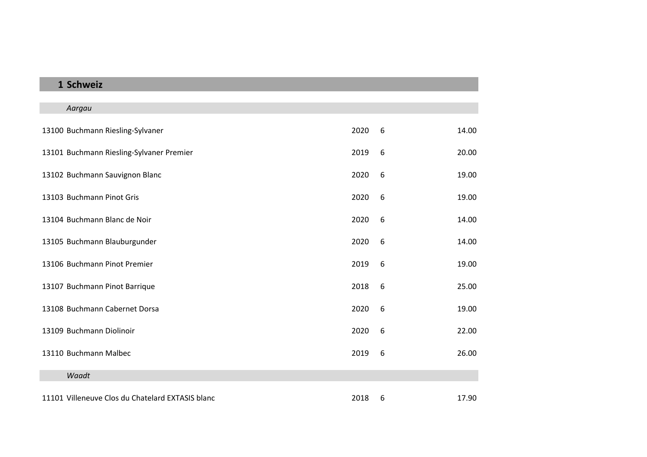## **Schweiz**

| Aargau                                           |      |   |       |
|--------------------------------------------------|------|---|-------|
| 13100 Buchmann Riesling-Sylvaner                 | 2020 | 6 | 14.00 |
| 13101 Buchmann Riesling-Sylvaner Premier         | 2019 | 6 | 20.00 |
| 13102 Buchmann Sauvignon Blanc                   | 2020 | 6 | 19.00 |
| 13103 Buchmann Pinot Gris                        | 2020 | 6 | 19.00 |
| 13104 Buchmann Blanc de Noir                     | 2020 | 6 | 14.00 |
| 13105 Buchmann Blauburgunder                     | 2020 | 6 | 14.00 |
| 13106 Buchmann Pinot Premier                     | 2019 | 6 | 19.00 |
| 13107 Buchmann Pinot Barrique                    | 2018 | 6 | 25.00 |
| 13108 Buchmann Cabernet Dorsa                    | 2020 | 6 | 19.00 |
| 13109 Buchmann Diolinoir                         | 2020 | 6 | 22.00 |
| 13110 Buchmann Malbec                            | 2019 | 6 | 26.00 |
| Waadt                                            |      |   |       |
| 11101 Villeneuve Clos du Chatelard EXTASIS blanc | 2018 | 6 | 17.90 |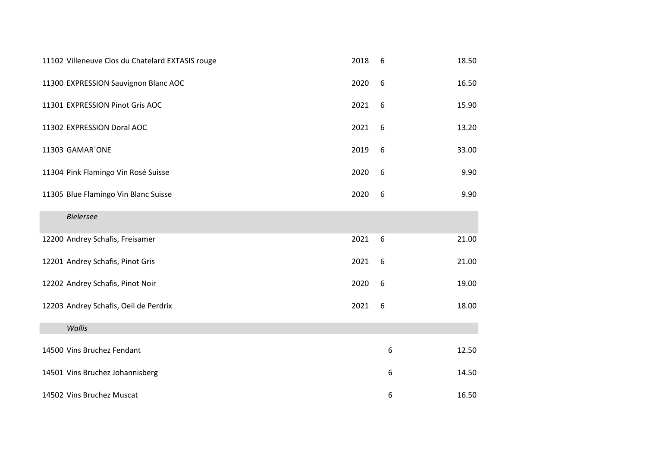| 11102 Villeneuve Clos du Chatelard EXTASIS rouge | 2018 | 6     | 18.50 |
|--------------------------------------------------|------|-------|-------|
| 11300 EXPRESSION Sauvignon Blanc AOC             | 2020 | 6     | 16.50 |
| 11301 EXPRESSION Pinot Gris AOC                  | 2021 | 6     | 15.90 |
| 11302 EXPRESSION Doral AOC                       | 2021 | 6     | 13.20 |
| 11303 GAMAR'ONE                                  | 2019 | 6     | 33.00 |
| 11304 Pink Flamingo Vin Rosé Suisse              | 2020 | 6     | 9.90  |
| 11305 Blue Flamingo Vin Blanc Suisse             | 2020 | 6     | 9.90  |
| <b>Bielersee</b>                                 |      |       |       |
| 12200 Andrey Schafis, Freisamer                  | 2021 | $6\,$ | 21.00 |
| 12201 Andrey Schafis, Pinot Gris                 | 2021 | 6     | 21.00 |
| 12202 Andrey Schafis, Pinot Noir                 | 2020 | 6     | 19.00 |
| 12203 Andrey Schafis, Oeil de Perdrix            | 2021 | 6     | 18.00 |
| Wallis                                           |      |       |       |
| 14500 Vins Bruchez Fendant                       |      | 6     | 12.50 |
| 14501 Vins Bruchez Johannisberg                  |      | 6     | 14.50 |
| 14502 Vins Bruchez Muscat                        |      | 6     | 16.50 |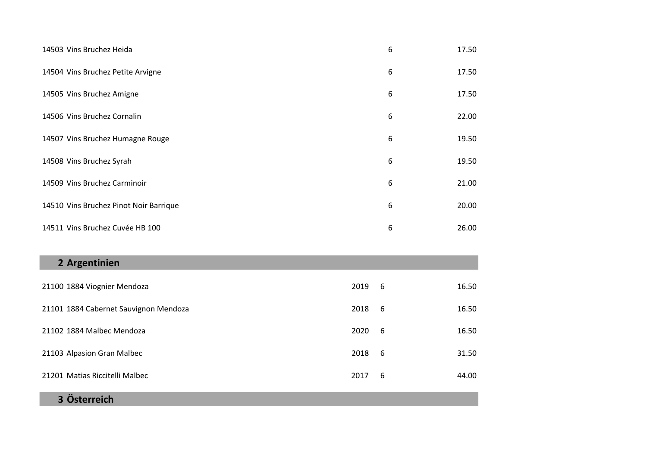| 14503 Vins Bruchez Heida               | 6 | 17.50 |
|----------------------------------------|---|-------|
| 14504 Vins Bruchez Petite Arvigne      | 6 | 17.50 |
| 14505 Vins Bruchez Amigne              | 6 | 17.50 |
| 14506 Vins Bruchez Cornalin            | 6 | 22.00 |
| 14507 Vins Bruchez Humagne Rouge       | 6 | 19.50 |
| 14508 Vins Bruchez Syrah               | 6 | 19.50 |
| 14509 Vins Bruchez Carminoir           | 6 | 21.00 |
| 14510 Vins Bruchez Pinot Noir Barrique | 6 | 20.00 |
| 14511 Vins Bruchez Cuvée HB 100        | 6 | 26.00 |

| 2 Argentinien                         |      |     |       |
|---------------------------------------|------|-----|-------|
| 21100 1884 Viognier Mendoza           | 2019 | - 6 | 16.50 |
| 21101 1884 Cabernet Sauvignon Mendoza | 2018 | -6  | 16.50 |
| 21102 1884 Malbec Mendoza             | 2020 | 6   | 16.50 |
| 21103 Alpasion Gran Malbec            | 2018 | -6  | 31.50 |
| 21201 Matias Riccitelli Malbec        | 2017 | 6   | 44.00 |

**Österreich**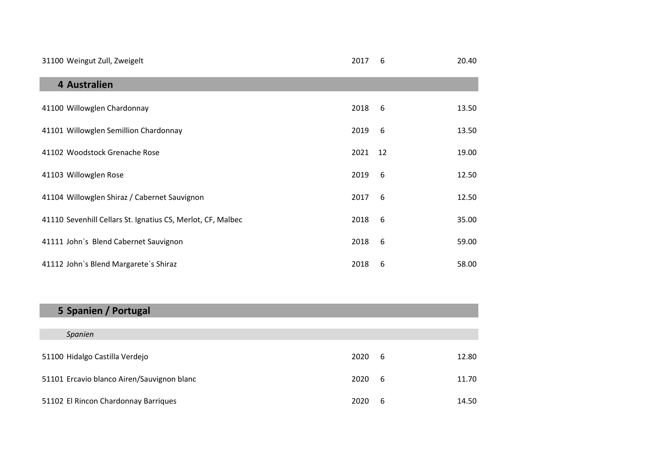| 31100 Weingut Zull, Zweigelt                                | 2017 | 6  | 20.40 |
|-------------------------------------------------------------|------|----|-------|
| 4 Australien                                                |      |    |       |
| 41100 Willowglen Chardonnay                                 | 2018 | 6  | 13.50 |
| 41101 Willowglen Semillion Chardonnay                       | 2019 | 6  | 13.50 |
| 41102 Woodstock Grenache Rose                               | 2021 | 12 | 19.00 |
| 41103 Willowglen Rose                                       | 2019 | 6  | 12.50 |
| 41104 Willowglen Shiraz / Cabernet Sauvignon                | 2017 | 6  | 12.50 |
| 41110 Sevenhill Cellars St. Ignatius CS, Merlot, CF, Malbec | 2018 | 6  | 35.00 |
| 41111 John's Blend Cabernet Sauvignon                       | 2018 | 6  | 59.00 |
| 41112 John's Blend Margarete's Shiraz                       | 2018 | 6  | 58.00 |

| 5 Spanien / Portugal                       |      |     |       |
|--------------------------------------------|------|-----|-------|
|                                            |      |     |       |
| Spanien                                    |      |     |       |
| 51100 Hidalgo Castilla Verdejo             | 2020 | - 6 | 12.80 |
| 51101 Ercavio blanco Airen/Sauvignon blanc | 2020 | - 6 | 11.70 |
| 51102 El Rincon Chardonnay Barriques       | 2020 | 6   | 14.50 |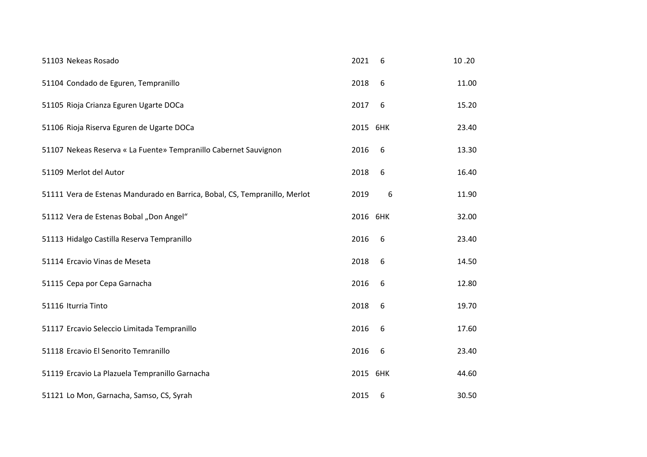| 51103 Nekeas Rosado                                                        | 2021     | 6 | 10.20 |
|----------------------------------------------------------------------------|----------|---|-------|
| 51104 Condado de Eguren, Tempranillo                                       | 2018     | 6 | 11.00 |
| 51105 Rioja Crianza Eguren Ugarte DOCa                                     | 2017     | 6 | 15.20 |
| 51106 Rioja Riserva Eguren de Ugarte DOCa                                  | 2015 6HK |   | 23.40 |
| 51107 Nekeas Reserva « La Fuente» Tempranillo Cabernet Sauvignon           | 2016     | 6 | 13.30 |
| 51109 Merlot del Autor                                                     | 2018     | 6 | 16.40 |
| 51111 Vera de Estenas Mandurado en Barrica, Bobal, CS, Tempranillo, Merlot | 2019     | 6 | 11.90 |
| 51112 Vera de Estenas Bobal "Don Angel"                                    | 2016 6HK |   | 32.00 |
| 51113 Hidalgo Castilla Reserva Tempranillo                                 | 2016     | 6 | 23.40 |
| 51114 Ercavio Vinas de Meseta                                              | 2018     | 6 | 14.50 |
| 51115 Cepa por Cepa Garnacha                                               | 2016     | 6 | 12.80 |
| 51116 Iturria Tinto                                                        | 2018     | 6 | 19.70 |
| 51117 Ercavio Seleccio Limitada Tempranillo                                | 2016     | 6 | 17.60 |
| 51118 Ercavio El Senorito Temranillo                                       | 2016     | 6 | 23.40 |
| 51119 Ercavio La Plazuela Tempranillo Garnacha                             | 2015 6HK |   | 44.60 |
| 51121 Lo Mon, Garnacha, Samso, CS, Syrah                                   | 2015     | 6 | 30.50 |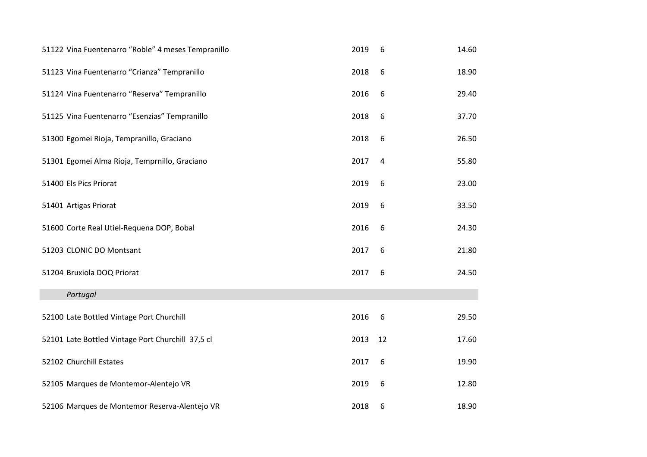| 51122 Vina Fuentenarro "Roble" 4 meses Tempranillo | 2019 | 6  | 14.60 |
|----------------------------------------------------|------|----|-------|
| 51123 Vina Fuentenarro "Crianza" Tempranillo       | 2018 | 6  | 18.90 |
| 51124 Vina Fuentenarro "Reserva" Tempranillo       | 2016 | 6  | 29.40 |
| 51125 Vina Fuentenarro "Esenzias" Tempranillo      | 2018 | 6  | 37.70 |
| 51300 Egomei Rioja, Tempranillo, Graciano          | 2018 | 6  | 26.50 |
| 51301 Egomei Alma Rioja, Temprnillo, Graciano      | 2017 | 4  | 55.80 |
| 51400 Els Pics Priorat                             | 2019 | 6  | 23.00 |
| 51401 Artigas Priorat                              | 2019 | 6  | 33.50 |
| 51600 Corte Real Utiel-Requena DOP, Bobal          | 2016 | 6  | 24.30 |
| 51203 CLONIC DO Montsant                           | 2017 | 6  | 21.80 |
| 51204 Bruxiola DOQ Priorat                         | 2017 | 6  | 24.50 |
| Portugal                                           |      |    |       |
| 52100 Late Bottled Vintage Port Churchill          | 2016 | 6  | 29.50 |
| 52101 Late Bottled Vintage Port Churchill 37,5 cl  | 2013 | 12 | 17.60 |
| 52102 Churchill Estates                            | 2017 | 6  | 19.90 |
| 52105 Marques de Montemor-Alentejo VR              | 2019 | 6  | 12.80 |
| 52106 Marques de Montemor Reserva-Alentejo VR      | 2018 | 6  | 18.90 |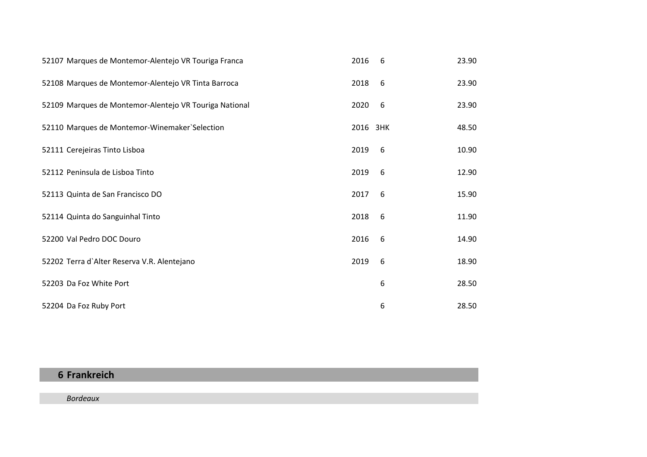| 52107 Marques de Montemor-Alentejo VR Touriga Franca   | 2016     | 6 | 23.90 |
|--------------------------------------------------------|----------|---|-------|
| 52108 Marques de Montemor-Alentejo VR Tinta Barroca    | 2018     | 6 | 23.90 |
| 52109 Marques de Montemor-Alentejo VR Touriga National | 2020     | 6 | 23.90 |
| 52110 Marques de Montemor-Winemaker`Selection          | 2016 3HK |   | 48.50 |
| 52111 Cerejeiras Tinto Lisboa                          | 2019     | 6 | 10.90 |
| 52112 Peninsula de Lisboa Tinto                        | 2019     | 6 | 12.90 |
| 52113 Quinta de San Francisco DO                       | 2017     | 6 | 15.90 |
| 52114 Quinta do Sanguinhal Tinto                       | 2018     | 6 | 11.90 |
| 52200 Val Pedro DOC Douro                              | 2016     | 6 | 14.90 |
| 52202 Terra d'Alter Reserva V.R. Alentejano            | 2019     | 6 | 18.90 |
| 52203 Da Foz White Port                                |          | 6 | 28.50 |
| 52204 Da Foz Ruby Port                                 |          | 6 | 28.50 |

## **Frankreich**

*Bordeaux*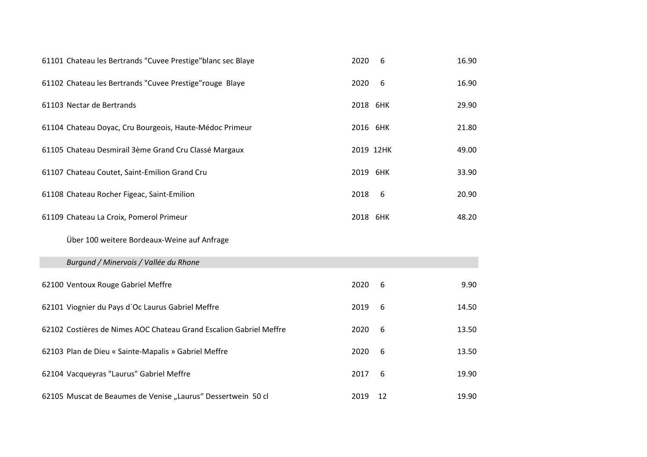|                           | 61101 Chateau les Bertrands "Cuvee Prestige"blanc sec Blaye        | 2020      | 6  | 16.90 |
|---------------------------|--------------------------------------------------------------------|-----------|----|-------|
|                           | 61102 Chateau les Bertrands "Cuvee Prestige" rouge Blaye           | 2020      | 6  | 16.90 |
| 61103 Nectar de Bertrands |                                                                    | 2018 6HK  |    | 29.90 |
|                           | 61104 Chateau Doyac, Cru Bourgeois, Haute-Médoc Primeur            | 2016 6HK  |    | 21.80 |
|                           | 61105 Chateau Desmirail 3ème Grand Cru Classé Margaux              | 2019 12HK |    | 49.00 |
|                           | 61107 Chateau Coutet, Saint-Emilion Grand Cru                      | 2019 6HK  |    | 33.90 |
|                           | 61108 Chateau Rocher Figeac, Saint-Emilion                         | 2018      | -6 | 20.90 |
|                           | 61109 Chateau La Croix, Pomerol Primeur                            | 2018 6HK  |    | 48.20 |
|                           |                                                                    |           |    |       |
|                           | Über 100 weitere Bordeaux-Weine auf Anfrage                        |           |    |       |
|                           | Burgund / Minervois / Vallée du Rhone                              |           |    |       |
|                           | 62100 Ventoux Rouge Gabriel Meffre                                 | 2020      | 6  | 9.90  |
|                           | 62101 Viognier du Pays d'Oc Laurus Gabriel Meffre                  | 2019      | 6  | 14.50 |
|                           | 62102 Costières de Nimes AOC Chateau Grand Escalion Gabriel Meffre | 2020      | 6  | 13.50 |
|                           | 62103 Plan de Dieu « Sainte-Mapalis » Gabriel Meffre               | 2020      | 6  | 13.50 |
|                           | 62104 Vacqueyras "Laurus" Gabriel Meffre                           | 2017      | 6  | 19.90 |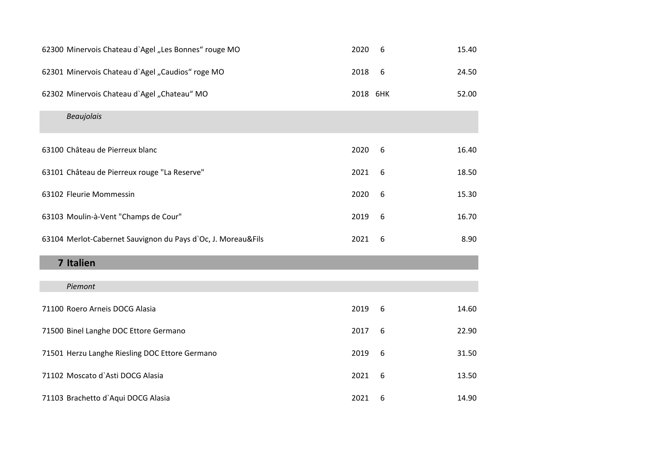| 62300 Minervois Chateau d'Agel "Les Bonnes" rouge MO         | 2020     | 6 | 15.40 |
|--------------------------------------------------------------|----------|---|-------|
| 62301 Minervois Chateau d'Agel "Caudios" roge MO             | 2018     | 6 | 24.50 |
| 62302 Minervois Chateau d'Agel "Chateau" MO                  | 2018 6HK |   | 52.00 |
| <b>Beaujolais</b>                                            |          |   |       |
| 63100 Château de Pierreux blanc                              | 2020     | 6 | 16.40 |
| 63101 Château de Pierreux rouge "La Reserve"                 | 2021     | 6 | 18.50 |
| 63102 Fleurie Mommessin                                      | 2020     | 6 | 15.30 |
| 63103 Moulin-à-Vent "Champs de Cour"                         | 2019     | 6 | 16.70 |
| 63104 Merlot-Cabernet Sauvignon du Pays d'Oc, J. Moreau&Fils | 2021     | 6 | 8.90  |
| 7 Italien                                                    |          |   |       |
| Piemont                                                      |          |   |       |
| 71100 Roero Arneis DOCG Alasia                               | 2019     | 6 | 14.60 |
| 71500 Binel Langhe DOC Ettore Germano                        | 2017     | 6 | 22.90 |
| 71501 Herzu Langhe Riesling DOC Ettore Germano               | 2019     | 6 | 31.50 |
| 71102 Moscato d'Asti DOCG Alasia                             | 2021     | 6 | 13.50 |
| 71103 Brachetto d'Aqui DOCG Alasia                           | 2021     | 6 | 14.90 |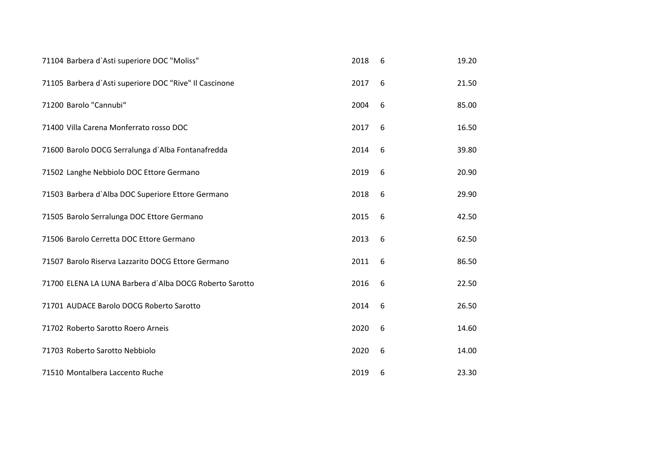| 71104 Barbera d'Asti superiore DOC "Moliss"             | 2018 | 6 | 19.20 |
|---------------------------------------------------------|------|---|-------|
| 71105 Barbera d'Asti superiore DOC "Rive" Il Cascinone  | 2017 | 6 | 21.50 |
| 71200 Barolo "Cannubi"                                  | 2004 | 6 | 85.00 |
| 71400 Villa Carena Monferrato rosso DOC                 | 2017 | 6 | 16.50 |
| 71600 Barolo DOCG Serralunga d'Alba Fontanafredda       | 2014 | 6 | 39.80 |
| 71502 Langhe Nebbiolo DOC Ettore Germano                | 2019 | 6 | 20.90 |
| 71503 Barbera d'Alba DOC Superiore Ettore Germano       | 2018 | 6 | 29.90 |
| 71505 Barolo Serralunga DOC Ettore Germano              | 2015 | 6 | 42.50 |
| 71506 Barolo Cerretta DOC Ettore Germano                | 2013 | 6 | 62.50 |
| 71507 Barolo Riserva Lazzarito DOCG Ettore Germano      | 2011 | 6 | 86.50 |
| 71700 ELENA LA LUNA Barbera d'Alba DOCG Roberto Sarotto | 2016 | 6 | 22.50 |
| 71701 AUDACE Barolo DOCG Roberto Sarotto                | 2014 | 6 | 26.50 |
| 71702 Roberto Sarotto Roero Arneis                      | 2020 | 6 | 14.60 |
| 71703 Roberto Sarotto Nebbiolo                          | 2020 | 6 | 14.00 |
| 71510 Montalbera Laccento Ruche                         | 2019 | 6 | 23.30 |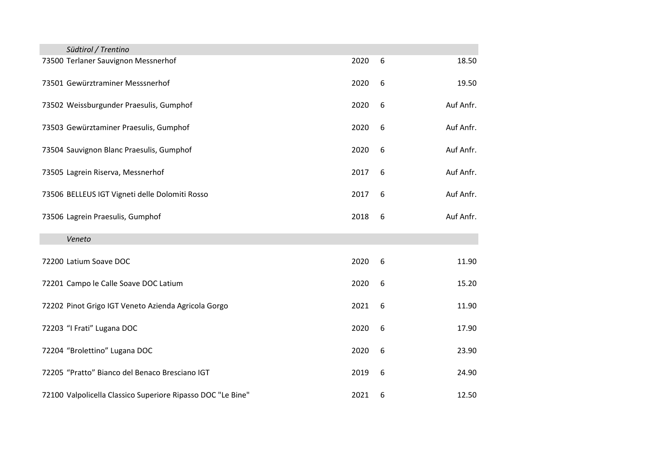| Südtirol / Trentino                                 | 2020 | 6 | 18.50     |
|-----------------------------------------------------|------|---|-----------|
| 73500 Terlaner Sauvignon Messnerhof                 |      |   |           |
| 73501 Gewürztraminer Messsnerhof                    | 2020 | 6 | 19.50     |
|                                                     |      |   |           |
| 73502 Weissburgunder Praesulis, Gumphof             | 2020 | 6 | Auf Anfr. |
|                                                     |      |   |           |
| 73503 Gewürztaminer Praesulis, Gumphof              | 2020 | 6 | Auf Anfr. |
| 73504 Sauvignon Blanc Praesulis, Gumphof            | 2020 | 6 | Auf Anfr. |
|                                                     |      |   |           |
| 73505 Lagrein Riserva, Messnerhof                   | 2017 | 6 | Auf Anfr. |
|                                                     |      |   |           |
| 73506 BELLEUS IGT Vigneti delle Dolomiti Rosso      | 2017 | 6 | Auf Anfr. |
| 73506 Lagrein Praesulis, Gumphof                    | 2018 | 6 | Auf Anfr. |
|                                                     |      |   |           |
|                                                     |      |   |           |
| Veneto                                              |      |   |           |
|                                                     |      |   |           |
| 72200 Latium Soave DOC                              | 2020 | 6 | 11.90     |
|                                                     |      |   |           |
| 72201 Campo le Calle Soave DOC Latium               | 2020 | 6 | 15.20     |
| 72202 Pinot Grigo IGT Veneto Azienda Agricola Gorgo | 2021 | 6 | 11.90     |
|                                                     |      |   |           |
| 72203 "I Frati" Lugana DOC                          | 2020 | 6 | 17.90     |
|                                                     |      |   |           |
| 72204 "Brolettino" Lugana DOC                       | 2020 | 6 | 23.90     |
| 72205 "Pratto" Bianco del Benaco Bresciano IGT      | 2019 | 6 | 24.90     |
|                                                     |      |   |           |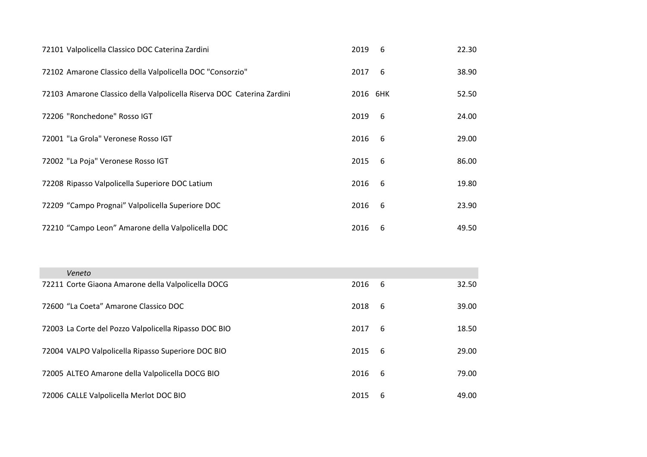| 72101 Valpolicella Classico DOC Caterina Zardini                       | 2019     | - 6 | 22.30 |
|------------------------------------------------------------------------|----------|-----|-------|
| 72102 Amarone Classico della Valpolicella DOC "Consorzio"              | 2017     | -6  | 38.90 |
| 72103 Amarone Classico della Valpolicella Riserva DOC Caterina Zardini | 2016 6HK |     | 52.50 |
| 72206 "Ronchedone" Rosso IGT                                           | 2019     | - 6 | 24.00 |
| 72001 "La Grola" Veronese Rosso IGT                                    | 2016     | 6   | 29.00 |
| 72002 "La Poja" Veronese Rosso IGT                                     | 2015     | - 6 | 86.00 |
| 72208 Ripasso Valpolicella Superiore DOC Latium                        | 2016     | - 6 | 19.80 |
| 72209 "Campo Prognai" Valpolicella Superiore DOC                       | 2016     | 6   | 23.90 |
| 72210 "Campo Leon" Amarone della Valpolicella DOC                      | 2016     | 6   | 49.50 |

| Veneto                                                |      |     |       |
|-------------------------------------------------------|------|-----|-------|
| 72211 Corte Giaona Amarone della Valpolicella DOCG    | 2016 | - 6 | 32.50 |
| 72600 "La Coeta" Amarone Classico DOC                 | 2018 | - 6 | 39.00 |
| 72003 La Corte del Pozzo Valpolicella Ripasso DOC BIO | 2017 | - 6 | 18.50 |
| 72004 VALPO Valpolicella Ripasso Superiore DOC BIO    | 2015 | - 6 | 29.00 |
| 72005 ALTEO Amarone della Valpolicella DOCG BIO       | 2016 | - 6 | 79.00 |
| 72006 CALLE Valpolicella Merlot DOC BIO               | 2015 | -6  | 49.00 |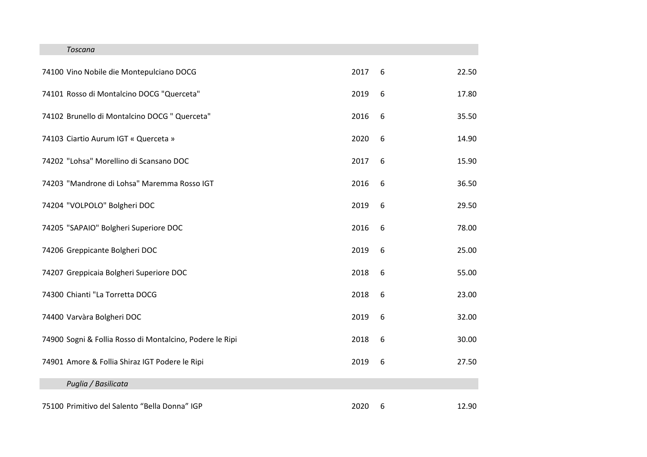## *Toscana*

| 74100 Vino Nobile die Montepulciano DOCG                 | 2017 | 6 | 22.50 |
|----------------------------------------------------------|------|---|-------|
| 74101 Rosso di Montalcino DOCG "Querceta"                | 2019 | 6 | 17.80 |
| 74102 Brunello di Montalcino DOCG " Querceta"            | 2016 | 6 | 35.50 |
| 74103 Ciartio Aurum IGT « Querceta »                     | 2020 | 6 | 14.90 |
| 74202 "Lohsa" Morellino di Scansano DOC                  | 2017 | 6 | 15.90 |
| 74203 "Mandrone di Lohsa" Maremma Rosso IGT              | 2016 | 6 | 36.50 |
| 74204 "VOLPOLO" Bolgheri DOC                             | 2019 | 6 | 29.50 |
| 74205 "SAPAIO" Bolgheri Superiore DOC                    | 2016 | 6 | 78.00 |
| 74206 Greppicante Bolgheri DOC                           | 2019 | 6 | 25.00 |
| 74207 Greppicaia Bolgheri Superiore DOC                  | 2018 | 6 | 55.00 |
| 74300 Chianti "La Torretta DOCG                          | 2018 | 6 | 23.00 |
| 74400 Varvàra Bolgheri DOC                               | 2019 | 6 | 32.00 |
| 74900 Sogni & Follia Rosso di Montalcino, Podere le Ripi | 2018 | 6 | 30.00 |
| 74901 Amore & Follia Shiraz IGT Podere le Ripi           | 2019 | 6 | 27.50 |
| Puglia / Basilicata                                      |      |   |       |
| 75100 Primitivo del Salento "Bella Donna" IGP            | 2020 | 6 | 12.90 |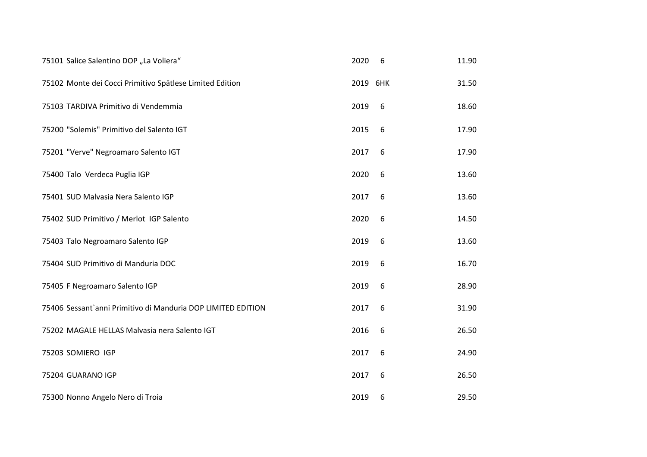| 75101 Salice Salentino DOP "La Voliera"                      | 2020     | 6 | 11.90 |
|--------------------------------------------------------------|----------|---|-------|
| 75102 Monte dei Cocci Primitivo Spätlese Limited Edition     | 2019 6HK |   | 31.50 |
| 75103 TARDIVA Primitivo di Vendemmia                         | 2019     | 6 | 18.60 |
| 75200 "Solemis" Primitivo del Salento IGT                    | 2015     | 6 | 17.90 |
| 75201 "Verve" Negroamaro Salento IGT                         | 2017     | 6 | 17.90 |
| 75400 Talo Verdeca Puglia IGP                                | 2020     | 6 | 13.60 |
| 75401 SUD Malvasia Nera Salento IGP                          | 2017     | 6 | 13.60 |
| 75402 SUD Primitivo / Merlot IGP Salento                     | 2020     | 6 | 14.50 |
| 75403 Talo Negroamaro Salento IGP                            | 2019     | 6 | 13.60 |
| 75404 SUD Primitivo di Manduria DOC                          | 2019     | 6 | 16.70 |
| 75405 F Negroamaro Salento IGP                               | 2019     | 6 | 28.90 |
| 75406 Sessant'anni Primitivo di Manduria DOP LIMITED EDITION | 2017     | 6 | 31.90 |
| 75202 MAGALE HELLAS Malvasia nera Salento IGT                | 2016     | 6 | 26.50 |
| 75203 SOMIERO IGP                                            | 2017     | 6 | 24.90 |
| 75204 GUARANO IGP                                            | 2017     | 6 | 26.50 |
| 75300 Nonno Angelo Nero di Troia                             | 2019     | 6 | 29.50 |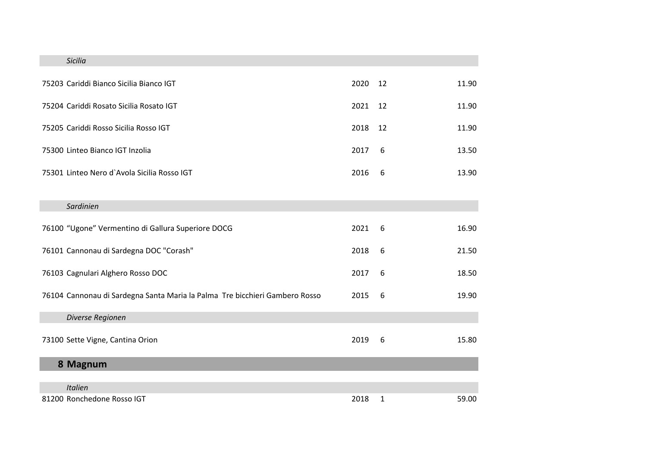| Sicilia                                                                     |         |    |       |
|-----------------------------------------------------------------------------|---------|----|-------|
| 75203 Cariddi Bianco Sicilia Bianco IGT                                     | 2020 12 |    | 11.90 |
| 75204 Cariddi Rosato Sicilia Rosato IGT                                     | 2021    | 12 | 11.90 |
| 75205 Cariddi Rosso Sicilia Rosso IGT                                       | 2018    | 12 | 11.90 |
| 75300 Linteo Bianco IGT Inzolia                                             | 2017    | 6  | 13.50 |
| 75301 Linteo Nero d'Avola Sicilia Rosso IGT                                 | 2016    | 6  | 13.90 |
|                                                                             |         |    |       |
| Sardinien                                                                   |         |    |       |
| 76100 "Ugone" Vermentino di Gallura Superiore DOCG                          | 2021    | 6  | 16.90 |
| 76101 Cannonau di Sardegna DOC "Corash"                                     | 2018    | 6  | 21.50 |
| 76103 Cagnulari Alghero Rosso DOC                                           | 2017    | 6  | 18.50 |
| 76104 Cannonau di Sardegna Santa Maria la Palma Tre bicchieri Gambero Rosso | 2015    | 6  | 19.90 |
| Diverse Regionen                                                            |         |    |       |
| 73100 Sette Vigne, Cantina Orion                                            | 2019    | 6  | 15.80 |
| 8 Magnum                                                                    |         |    |       |
|                                                                             |         |    |       |
| <b>Italien</b><br>81200 Ronchedone Rosso IGT                                | 2018    | 1  | 59.00 |
|                                                                             |         |    |       |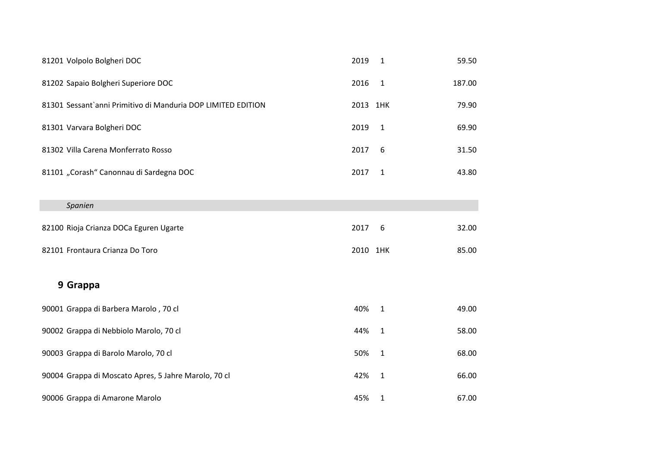| 81201 Volpolo Bolgheri DOC                                   | 2019     | $\mathbf{1}$ | 59.50  |
|--------------------------------------------------------------|----------|--------------|--------|
| 81202 Sapaio Bolgheri Superiore DOC                          | 2016     | $\mathbf{1}$ | 187.00 |
| 81301 Sessant`anni Primitivo di Manduria DOP LIMITED EDITION | 2013 1HK |              | 79.90  |
| 81301 Varvara Bolgheri DOC                                   | 2019     | $\mathbf{1}$ | 69.90  |
| 81302 Villa Carena Monferrato Rosso                          | 2017     | 6            | 31.50  |
| 81101 "Corash" Canonnau di Sardegna DOC                      | 2017     | $\mathbf{1}$ | 43.80  |
|                                                              |          |              |        |
| Spanien                                                      |          |              |        |
| 82100 Rioja Crianza DOCa Eguren Ugarte                       | 2017     | 6            | 32.00  |
| 82101 Frontaura Crianza Do Toro                              | 2010 1HK |              | 85.00  |
| 9 Grappa                                                     |          |              |        |
|                                                              |          |              |        |
| 90001 Grappa di Barbera Marolo, 70 cl                        | 40%      | $\mathbf{1}$ | 49.00  |
| 90002 Grappa di Nebbiolo Marolo, 70 cl                       | 44%      | $\mathbf{1}$ | 58.00  |
| 90003 Grappa di Barolo Marolo, 70 cl                         | 50%      | $\mathbf{1}$ | 68.00  |
| 90004 Grappa di Moscato Apres, 5 Jahre Marolo, 70 cl         | 42%      | $\mathbf{1}$ | 66.00  |
| 90006 Grappa di Amarone Marolo                               | 45%      | 1            | 67.00  |